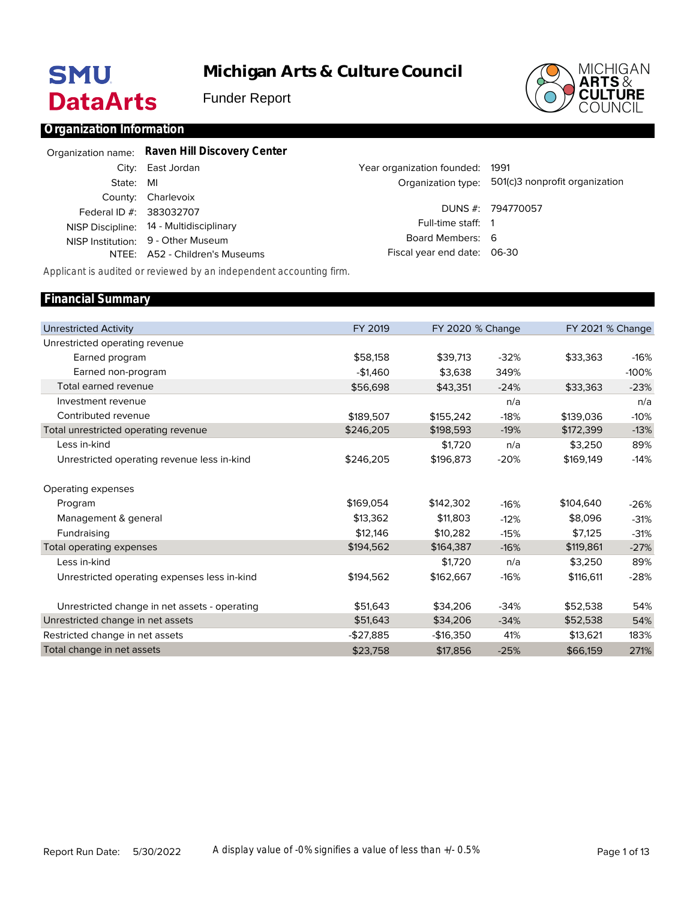# **SMU DataArts**

**Michigan Arts & Culture Council**

Funder Report



### **Organization Information**

|                         | Organization name: Raven Hill Discovery Center |                                 |                                                   |
|-------------------------|------------------------------------------------|---------------------------------|---------------------------------------------------|
|                         | City: East Jordan                              | Year organization founded: 1991 |                                                   |
| State: MI               |                                                |                                 | Organization type: 501(c)3 nonprofit organization |
|                         | County: Charlevoix                             |                                 |                                                   |
| Federal ID #: 383032707 |                                                |                                 | DUNS #: 794770057                                 |
|                         | NISP Discipline: 14 - Multidisciplinary        | Full-time staff: 1              |                                                   |
|                         | NISP Institution: 9 - Other Museum             | Board Members: 6                |                                                   |
|                         | NTEE: A52 - Children's Museums                 | Fiscal year end date: 06-30     |                                                   |

*Applicant is audited or reviewed by an independent accounting firm.*

#### Unrestricted Activity Unrestricted operating revenue Earned program Earned non-program Total earned revenue Investment revenue Contributed revenue Total unrestricted operating revenue Less in-kind Unrestricted operating revenue less in-kind Operating expenses Program Management & general Fundraising Total operating expenses Less in-kind Unrestricted operating expenses less in-kind Unrestricted change in net assets - operating Unrestricted change in net assets Restricted change in net assets Total change in net assets FY 2019 \$58,158 -\$1,460 \$56,698 \$189,507 \$246,205 \$246,205 \$169,054 \$13,362 \$12,146 \$194,562 \$194,562 \$51,643 \$51,643 -\$27,885 \$23,758 FY 2020 % Change \$39,713 \$3,638 \$43,351 \$155,242 \$198,593 \$1,720 \$196,873 \$142,302 \$11,803 \$10,282 \$164,387 \$1,720 \$162,667 \$34,206 \$34,206 -\$16,350 \$17,856 -32% 349% -24% n/a -18% -19% n/a -20% -16% -12% -15% -16% n/a -16% -34% -34% 41% -25% FY 2021 % Change \$33,363 \$33,363 \$139,036 \$172,399 \$3,250 \$169,149 \$104,640 \$8,096 \$7,125 \$119,861 \$3,250 \$116,611 \$52,538 \$52,538 \$13,621 \$66,159 -16% -100% -23% n/a -10% -13% 89% -14% -26% -31% -31% -27% 89% -28% 54% 54% 183% 271% **Financial Summary**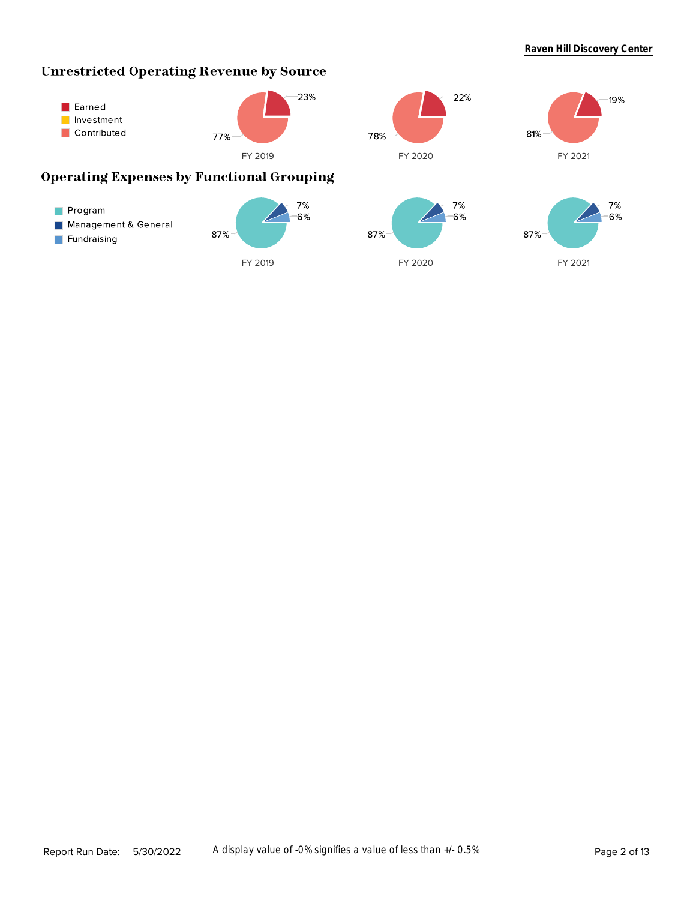### **Unrestricted Operating Revenue by Source**



Report Run Date: 5/30/2022 A display value of -0% signifies a value of less than +/- 0.5%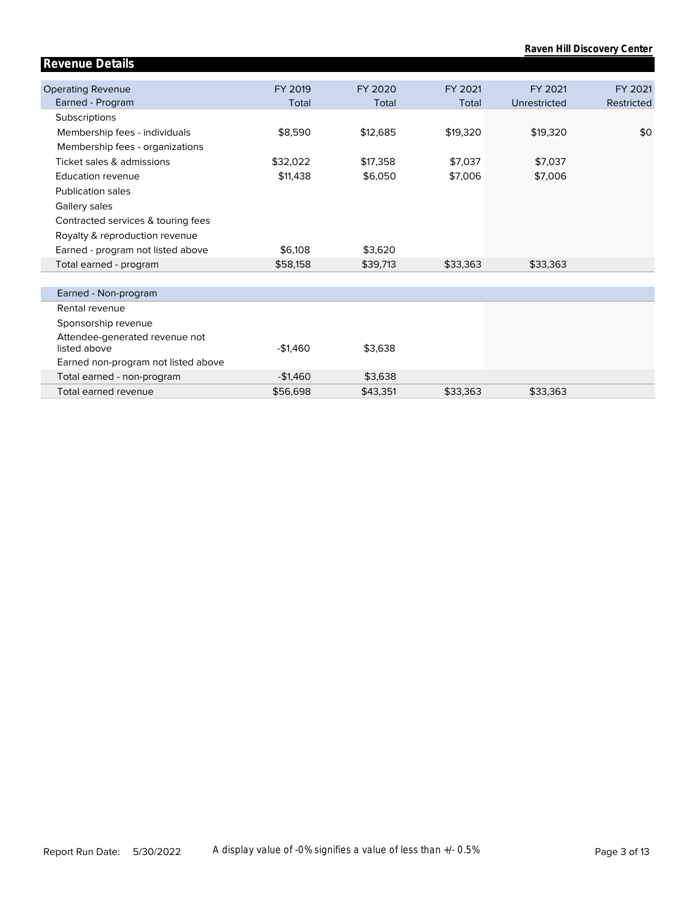|                                                |           |          |          |              | Raven Hill Discovery Center |
|------------------------------------------------|-----------|----------|----------|--------------|-----------------------------|
| <b>Revenue Details</b>                         |           |          |          |              |                             |
|                                                |           |          |          |              |                             |
| <b>Operating Revenue</b>                       | FY 2019   | FY 2020  | FY 2021  | FY 2021      | FY 2021                     |
| Earned - Program                               | Total     | Total    | Total    | Unrestricted | Restricted                  |
| Subscriptions                                  |           |          |          |              |                             |
| Membership fees - individuals                  | \$8,590   | \$12,685 | \$19,320 | \$19,320     | \$0                         |
| Membership fees - organizations                |           |          |          |              |                             |
| Ticket sales & admissions                      | \$32,022  | \$17,358 | \$7,037  | \$7,037      |                             |
| <b>Education revenue</b>                       | \$11,438  | \$6,050  | \$7,006  | \$7,006      |                             |
| <b>Publication sales</b>                       |           |          |          |              |                             |
| Gallery sales                                  |           |          |          |              |                             |
| Contracted services & touring fees             |           |          |          |              |                             |
| Royalty & reproduction revenue                 |           |          |          |              |                             |
| Earned - program not listed above              | \$6,108   | \$3,620  |          |              |                             |
| Total earned - program                         | \$58,158  | \$39,713 | \$33,363 | \$33,363     |                             |
|                                                |           |          |          |              |                             |
| Earned - Non-program                           |           |          |          |              |                             |
| Rental revenue                                 |           |          |          |              |                             |
| Sponsorship revenue                            |           |          |          |              |                             |
| Attendee-generated revenue not<br>listed above | $-$1,460$ | \$3,638  |          |              |                             |
| Earned non-program not listed above            |           |          |          |              |                             |
| Total earned - non-program                     | $-$1,460$ | \$3,638  |          |              |                             |
| Total earned revenue                           | \$56,698  | \$43,351 | \$33,363 | \$33,363     |                             |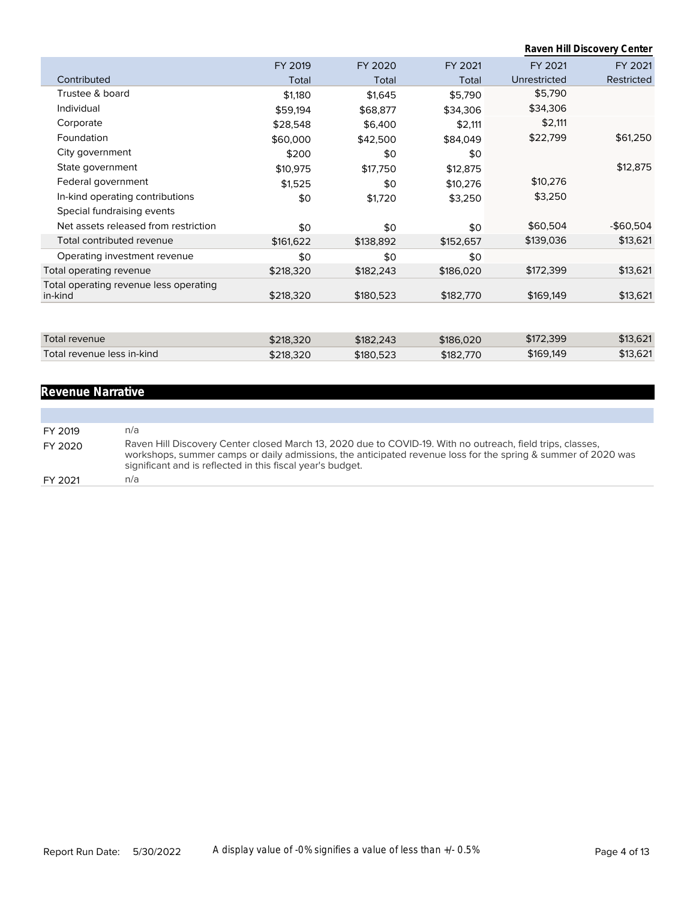|                                                   |           |           |           |              | Raven Hill Discovery Center |
|---------------------------------------------------|-----------|-----------|-----------|--------------|-----------------------------|
|                                                   | FY 2019   | FY 2020   | FY 2021   | FY 2021      | FY 2021                     |
| Contributed                                       | Total     | Total     | Total     | Unrestricted | Restricted                  |
| Trustee & board                                   | \$1,180   | \$1,645   | \$5,790   | \$5,790      |                             |
| Individual                                        | \$59,194  | \$68,877  | \$34,306  | \$34,306     |                             |
| Corporate                                         | \$28,548  | \$6,400   | \$2,111   | \$2,111      |                             |
| Foundation                                        | \$60,000  | \$42,500  | \$84,049  | \$22,799     | \$61,250                    |
| City government                                   | \$200     | \$0       | \$0       |              |                             |
| State government                                  | \$10,975  | \$17,750  | \$12,875  |              | \$12,875                    |
| Federal government                                | \$1,525   | \$0       | \$10,276  | \$10,276     |                             |
| In-kind operating contributions                   | \$0       | \$1,720   | \$3,250   | \$3,250      |                             |
| Special fundraising events                        |           |           |           |              |                             |
| Net assets released from restriction              | \$0       | \$0       | \$0       | \$60,504     | $-$60,504$                  |
| Total contributed revenue                         | \$161,622 | \$138,892 | \$152,657 | \$139,036    | \$13,621                    |
| Operating investment revenue                      | \$0       | \$0       | \$0       |              |                             |
| Total operating revenue                           | \$218,320 | \$182,243 | \$186,020 | \$172,399    | \$13,621                    |
| Total operating revenue less operating<br>in-kind | \$218,320 | \$180,523 | \$182,770 | \$169,149    | \$13,621                    |
|                                                   |           |           |           |              |                             |
|                                                   |           |           |           |              |                             |
| <b>Total revenue</b>                              | \$218,320 | \$182,243 | \$186,020 | \$172,399    | \$13,621                    |
| Total revenue less in-kind                        | \$218,320 | \$180,523 | \$182,770 | \$169,149    | \$13,621                    |

## **Revenue Narrative**

| FY 2019 | n/a                                                                                                                                                                                                                                                                                       |
|---------|-------------------------------------------------------------------------------------------------------------------------------------------------------------------------------------------------------------------------------------------------------------------------------------------|
| FY 2020 | Raven Hill Discovery Center closed March 13, 2020 due to COVID-19. With no outreach, field trips, classes,<br>workshops, summer camps or daily admissions, the anticipated revenue loss for the spring & summer of 2020 was<br>significant and is reflected in this fiscal year's budget. |
| FY 2021 | n/a                                                                                                                                                                                                                                                                                       |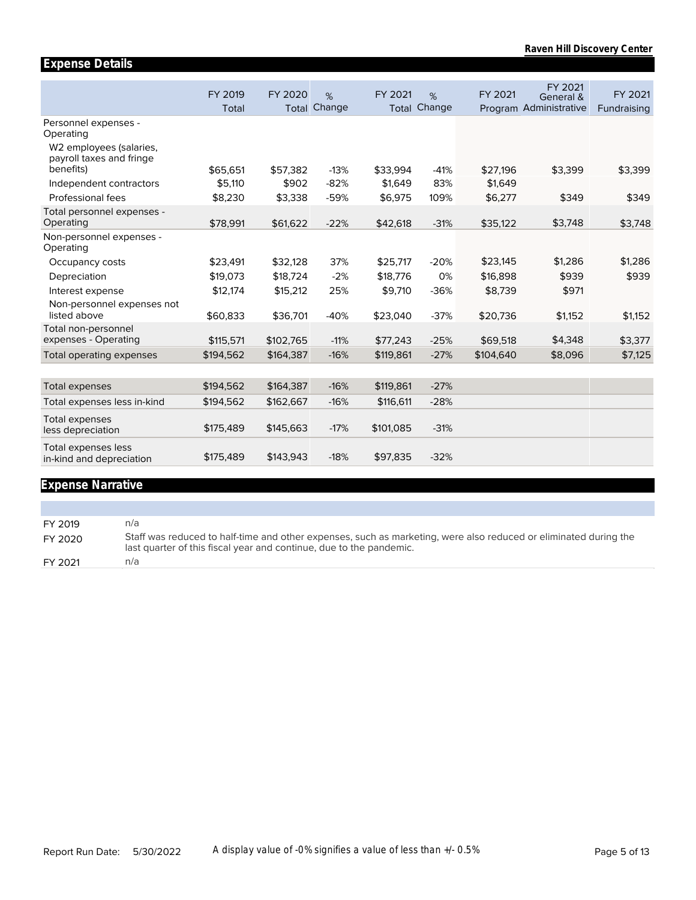|                                                                 | FY 2019   | FY 2020   | %      | FY 2021   | %                   | FY 2021   | FY 2021<br>General &   | FY 2021     |
|-----------------------------------------------------------------|-----------|-----------|--------|-----------|---------------------|-----------|------------------------|-------------|
|                                                                 | Total     | Total     | Change |           | <b>Total Change</b> |           | Program Administrative | Fundraising |
| Personnel expenses -<br>Operating                               |           |           |        |           |                     |           |                        |             |
| W <sub>2</sub> employees (salaries,<br>payroll taxes and fringe |           |           |        |           |                     |           |                        |             |
| benefits)                                                       | \$65,651  | \$57,382  | $-13%$ | \$33,994  | $-41%$              | \$27,196  | \$3,399                | \$3,399     |
| Independent contractors                                         | \$5,110   | \$902     | $-82%$ | \$1,649   | 83%                 | \$1,649   |                        |             |
| Professional fees                                               | \$8,230   | \$3,338   | $-59%$ | \$6,975   | 109%                | \$6,277   | \$349                  | \$349       |
| Total personnel expenses -                                      |           |           |        |           |                     |           |                        |             |
| Operating                                                       | \$78,991  | \$61,622  | $-22%$ | \$42,618  | $-31%$              | \$35,122  | \$3,748                | \$3,748     |
| Non-personnel expenses -<br>Operating                           |           |           |        |           |                     |           |                        |             |
| Occupancy costs                                                 | \$23,491  | \$32,128  | 37%    | \$25,717  | $-20%$              | \$23,145  | \$1,286                | \$1,286     |
| Depreciation                                                    | \$19,073  | \$18,724  | $-2%$  | \$18,776  | 0%                  | \$16,898  | \$939                  | \$939       |
| Interest expense                                                | \$12,174  | \$15,212  | 25%    | \$9,710   | $-36%$              | \$8,739   | \$971                  |             |
| Non-personnel expenses not                                      |           |           |        |           |                     |           |                        |             |
| listed above                                                    | \$60,833  | \$36,701  | $-40%$ | \$23,040  | $-37%$              | \$20,736  | \$1,152                | \$1,152     |
| Total non-personnel                                             |           |           |        |           |                     |           |                        |             |
| expenses - Operating                                            | \$115,571 | \$102,765 | $-11%$ | \$77,243  | $-25%$              | \$69,518  | \$4,348                | \$3,377     |
| Total operating expenses                                        | \$194,562 | \$164,387 | $-16%$ | \$119,861 | $-27%$              | \$104,640 | \$8,096                | \$7,125     |
|                                                                 |           |           |        |           |                     |           |                        |             |
| <b>Total expenses</b>                                           | \$194,562 | \$164,387 | $-16%$ | \$119,861 | $-27%$              |           |                        |             |
| Total expenses less in-kind                                     | \$194,562 | \$162,667 | $-16%$ | \$116,611 | $-28%$              |           |                        |             |
| <b>Total expenses</b><br>less depreciation                      | \$175,489 | \$145,663 | $-17%$ | \$101,085 | $-31%$              |           |                        |             |
| Total expenses less<br>in-kind and depreciation                 | \$175,489 | \$143.943 | $-18%$ | \$97,835  | $-32%$              |           |                        |             |
|                                                                 |           |           |        |           |                     |           |                        |             |

### **Expense Narrative**

**Expense Details**

FY 2019 n/a FY 2020 Staff was reduced to half-time and other expenses, such as marketing, were also reduced or eliminated during the last quarter of this fiscal year and continue, due to the pandemic. FY 2021 n/a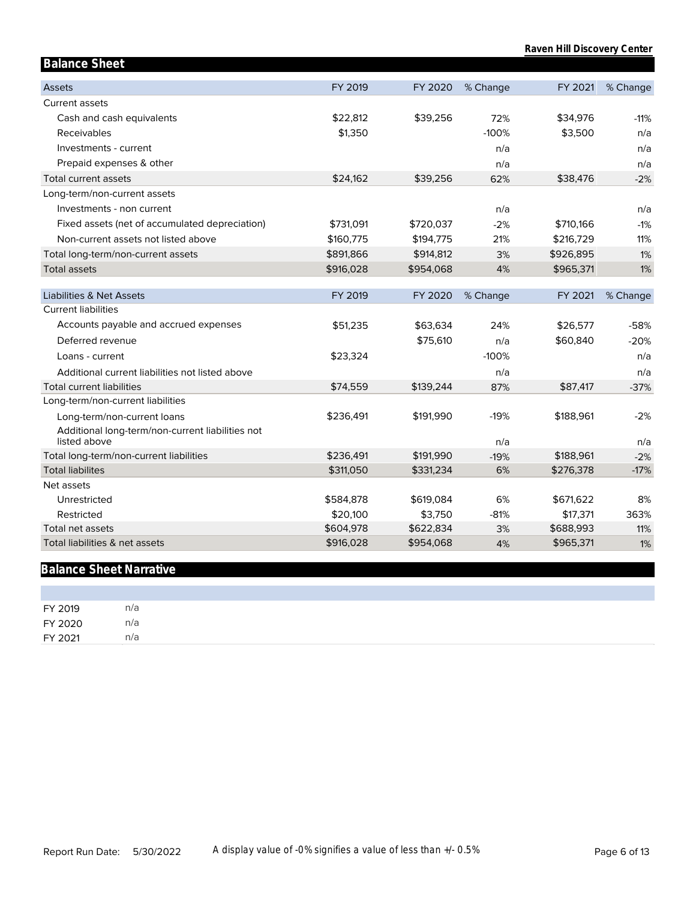| <b>Balance Sheet</b>                                               |                       |                      |              |                       |             |
|--------------------------------------------------------------------|-----------------------|----------------------|--------------|-----------------------|-------------|
| <b>Assets</b>                                                      | FY 2019               | FY 2020              | % Change     | FY 2021               | % Change    |
| Current assets                                                     |                       |                      |              |                       |             |
| Cash and cash equivalents                                          | \$22,812              | \$39,256             | 72%          | \$34,976              | $-11%$      |
| Receivables                                                        | \$1,350               |                      | $-100%$      | \$3,500               | n/a         |
| Investments - current                                              |                       |                      | n/a          |                       | n/a         |
| Prepaid expenses & other                                           |                       |                      | n/a          |                       | n/a         |
| Total current assets                                               | \$24,162              | \$39,256             | 62%          | \$38,476              | $-2%$       |
| Long-term/non-current assets                                       |                       |                      |              |                       |             |
| Investments - non current                                          |                       |                      | n/a          |                       | n/a         |
| Fixed assets (net of accumulated depreciation)                     | \$731,091             | \$720,037            | $-2%$        | \$710,166             | $-1%$       |
| Non-current assets not listed above                                | \$160,775             | \$194,775            | 21%          | \$216,729             | 11%         |
| Total long-term/non-current assets                                 | \$891,866             | \$914,812            | 3%           | \$926,895             | 1%          |
| <b>Total assets</b>                                                | \$916,028             | \$954,068            | 4%           | \$965,371             | 1%          |
|                                                                    |                       |                      |              |                       |             |
| <b>Liabilities &amp; Net Assets</b>                                | FY 2019               | FY 2020              | % Change     | FY 2021               | % Change    |
| <b>Current liabilities</b>                                         |                       |                      |              |                       |             |
| Accounts payable and accrued expenses                              | \$51,235              | \$63,634             | 24%          | \$26,577              | $-58%$      |
| Deferred revenue                                                   |                       | \$75,610             | n/a          | \$60,840              | $-20%$      |
| Loans - current                                                    | \$23,324              |                      | $-100%$      |                       | n/a         |
| Additional current liabilities not listed above                    |                       |                      | n/a          |                       | n/a         |
| <b>Total current liabilities</b>                                   | \$74,559              | \$139,244            | 87%          | \$87,417              | $-37%$      |
| Long-term/non-current liabilities                                  |                       |                      |              |                       |             |
| Long-term/non-current loans                                        | \$236,491             | \$191,990            | $-19%$       | \$188,961             | $-2%$       |
| Additional long-term/non-current liabilities not                   |                       |                      |              |                       |             |
| listed above                                                       |                       |                      | n/a          |                       | n/a         |
| Total long-term/non-current liabilities<br><b>Total liabilites</b> | \$236,491             | \$191,990            | $-19%$       | \$188,961             | $-2%$       |
|                                                                    | \$311,050             | \$331,234            | 6%           | \$276,378             | $-17%$      |
| Net assets                                                         |                       |                      |              |                       |             |
| Unrestricted<br>Restricted                                         | \$584,878             | \$619,084            | 6%<br>$-81%$ | \$671,622             | 8%          |
| Total net assets                                                   | \$20,100<br>\$604,978 | \$3,750<br>\$622,834 | 3%           | \$17,371<br>\$688,993 | 363%<br>11% |
| Total liabilities & net assets                                     | \$916,028             | \$954,068            | 4%           | \$965,371             | 1%          |
|                                                                    |                       |                      |              |                       |             |

## **Balance Sheet Narrative**

| FY 2019 | n/a |
|---------|-----|
| FY 2020 | n/a |
| FY 2021 | n/a |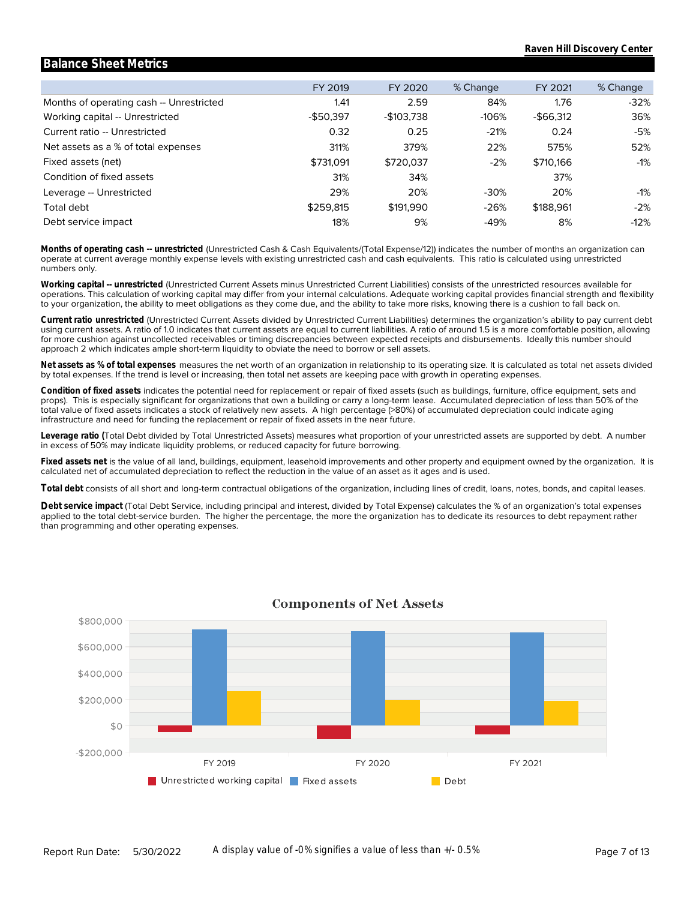#### Months of operating cash -- Unrestricted Working capital -- Unrestricted Current ratio -- Unrestricted Net assets as a % of total expenses Fixed assets (net) Condition of fixed assets Leverage -- Unrestricted Total debt Debt service impact FY 2019 1.41 -\$50,397 0.32 311% \$731,091 31% 29% \$259,815 18% FY 2020 2.59 -\$103,738 0.25 379% \$720,037 34% 20% \$191,990 9% % Change 84% -106% -21% 22% -2% -30% -26% -49% FY 2021 1.76 -\$66,312 0.24 575% \$710,166 37% 20% \$188,961 8% % Change -32% 36% -5% 52% -1% -1% -2% -12%

**Balance Sheet Metrics**

numbers only. operate at current average monthly expense levels with existing unrestricted cash and cash equivalents. This ratio is calculated using unrestricted **Months of operating cash -- unrestricted** (Unrestricted Cash & Cash Equivalents/(Total Expense/12)) indicates the number of months an organization can

to your organization, the ability to meet obligations as they come due, and the ability to take more risks, knowing there is a cushion to fall back on. operations. This calculation of working capital may differ from your internal calculations. Adequate working capital provides financial strength and flexibility **Working capital -- unrestricted** (Unrestricted Current Assets minus Unrestricted Current Liabilities) consists of the unrestricted resources available for

approach 2 which indicates ample short-term liquidity to obviate the need to borrow or sell assets. for more cushion against uncollected receivables or timing discrepancies between expected receipts and disbursements. Ideally this number should using current assets. A ratio of 1.0 indicates that current assets are equal to current liabilities. A ratio of around 1.5 is a more comfortable position, allowing **Current ratio unrestricted** (Unrestricted Current Assets divided by Unrestricted Current Liabilities) determines the organization's ability to pay current debt

by total expenses. If the trend is level or increasing, then total net assets are keeping pace with growth in operating expenses. **Net assets as % of total expenses** measures the net worth of an organization in relationship to its operating size. It is calculated as total net assets divided

infrastructure and need for funding the replacement or repair of fixed assets in the near future. total value of fixed assets indicates a stock of relatively new assets. A high percentage (>80%) of accumulated depreciation could indicate aging props). This is especially significant for organizations that own a building or carry a long-term lease. Accumulated depreciation of less than 50% of the **Condition of fixed assets** indicates the potential need for replacement or repair of fixed assets (such as buildings, furniture, office equipment, sets and

in excess of 50% may indicate liquidity problems, or reduced capacity for future borrowing. **Leverage ratio (**Total Debt divided by Total Unrestricted Assets) measures what proportion of your unrestricted assets are supported by debt. A number

calculated net of accumulated depreciation to reflect the reduction in the value of an asset as it ages and is used. **Fixed assets net** is the value of all land, buildings, equipment, leasehold improvements and other property and equipment owned by the organization. It is

**Total debt** consists of all short and long-term contractual obligations of the organization, including lines of credit, loans, notes, bonds, and capital leases.

than programming and other operating expenses. applied to the total debt-service burden. The higher the percentage, the more the organization has to dedicate its resources to debt repayment rather Debt service impact (Total Debt Service, including principal and interest, divided by Total Expense) calculates the % of an organization's total expenses



### **Components of Net Assets**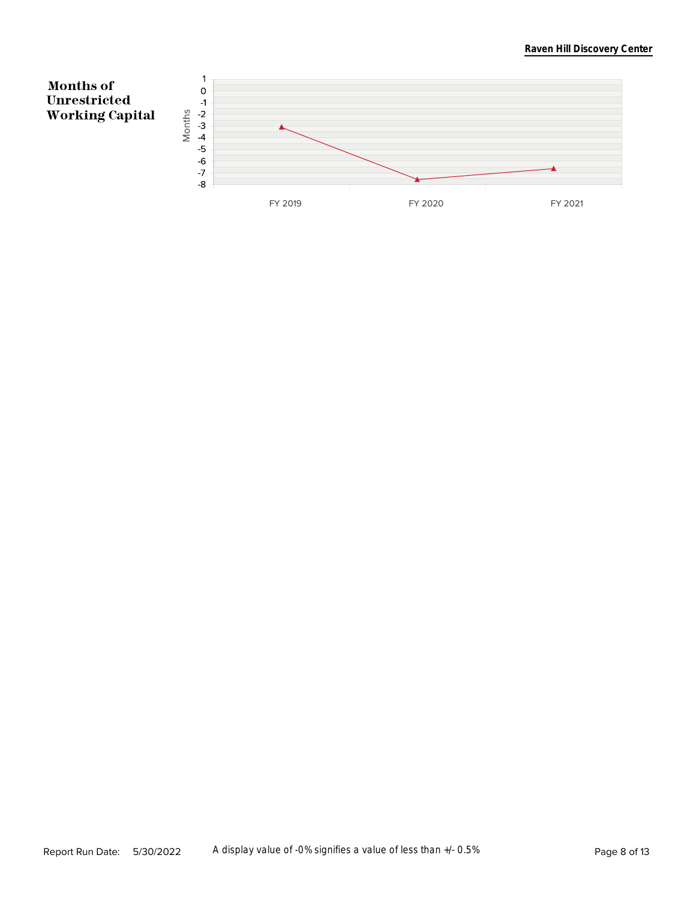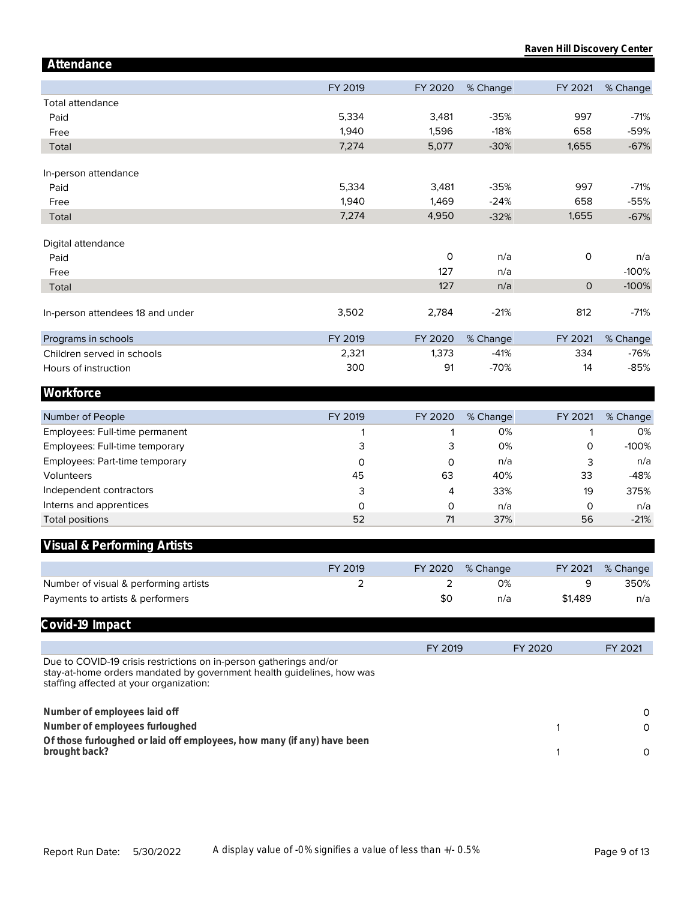| Attendance                                                                                                                                                                             |         |         |          |              |          |
|----------------------------------------------------------------------------------------------------------------------------------------------------------------------------------------|---------|---------|----------|--------------|----------|
|                                                                                                                                                                                        | FY 2019 | FY 2020 | % Change | FY 2021      | % Change |
| <b>Total attendance</b>                                                                                                                                                                |         |         |          |              |          |
| Paid                                                                                                                                                                                   | 5,334   | 3,481   | $-35%$   | 997          | $-71%$   |
| Free                                                                                                                                                                                   | 1,940   | 1,596   | $-18%$   | 658          | -59%     |
| Total                                                                                                                                                                                  | 7,274   | 5,077   | $-30%$   | 1,655        | $-67%$   |
|                                                                                                                                                                                        |         |         |          |              |          |
| In-person attendance                                                                                                                                                                   |         |         |          |              |          |
| Paid                                                                                                                                                                                   | 5,334   | 3,481   | $-35%$   | 997          | $-71%$   |
| Free                                                                                                                                                                                   | 1,940   | 1,469   | $-24%$   | 658          | $-55%$   |
| Total                                                                                                                                                                                  | 7,274   | 4,950   | $-32%$   | 1,655        | $-67%$   |
| Digital attendance                                                                                                                                                                     |         |         |          |              |          |
| Paid                                                                                                                                                                                   |         | 0       | n/a      | 0            | n/a      |
| Free                                                                                                                                                                                   |         | 127     | n/a      |              | $-100%$  |
| Total                                                                                                                                                                                  |         | 127     | n/a      | $\mathsf{O}$ | $-100%$  |
|                                                                                                                                                                                        |         |         |          |              |          |
| In-person attendees 18 and under                                                                                                                                                       | 3,502   | 2,784   | $-21%$   | 812          | $-71%$   |
| Programs in schools                                                                                                                                                                    | FY 2019 | FY 2020 | % Change | FY 2021      | % Change |
| Children served in schools                                                                                                                                                             | 2,321   | 1,373   | $-41%$   | 334          | $-76%$   |
| Hours of instruction                                                                                                                                                                   | 300     | 91      | $-70%$   | 14           | $-85%$   |
| Workforce                                                                                                                                                                              |         |         |          |              |          |
|                                                                                                                                                                                        |         |         |          |              |          |
| Number of People                                                                                                                                                                       | FY 2019 | FY 2020 | % Change | FY 2021      | % Change |
| Employees: Full-time permanent                                                                                                                                                         | 1       | 1       | 0%       | 1            | 0%       |
| Employees: Full-time temporary                                                                                                                                                         | 3       | 3       | 0%       | 0            | $-100%$  |
| Employees: Part-time temporary                                                                                                                                                         | 0       | 0       | n/a      | 3            | n/a      |
| Volunteers                                                                                                                                                                             | 45      | 63      | 40%      | 33           | $-48%$   |
| Independent contractors                                                                                                                                                                | 3       | 4       | 33%      | 19           | 375%     |
| Interns and apprentices                                                                                                                                                                | 0       | 0       | n/a      | 0            | n/a      |
| <b>Total positions</b>                                                                                                                                                                 | 52      | 71      | 37%      | 56           | $-21%$   |
| Visual & Performing Artists                                                                                                                                                            |         |         |          |              |          |
|                                                                                                                                                                                        | FY 2019 | FY 2020 | % Change | FY 2021      | % Change |
| Number of visual & performing artists                                                                                                                                                  | 2       | 2       | 0%       | 9            | 350%     |
| Payments to artists & performers                                                                                                                                                       |         | \$0     | n/a      | \$1,489      | n/a      |
|                                                                                                                                                                                        |         |         |          |              |          |
| Covid-19 Impact                                                                                                                                                                        |         |         |          |              |          |
|                                                                                                                                                                                        |         | FY 2019 |          | FY 2020      | FY 2021  |
| Due to COVID-19 crisis restrictions on in-person gatherings and/or<br>stay-at-home orders mandated by government health guidelines, how was<br>staffing affected at your organization: |         |         |          |              |          |
| Number of employees laid off                                                                                                                                                           |         |         |          |              | 0        |
| Number of employees furloughed                                                                                                                                                         |         |         |          | 1            | 0        |
| Of those furloughed or laid off employees, how many (if any) have been                                                                                                                 |         |         |          |              |          |
| brought back?                                                                                                                                                                          |         |         |          | 1            | 0        |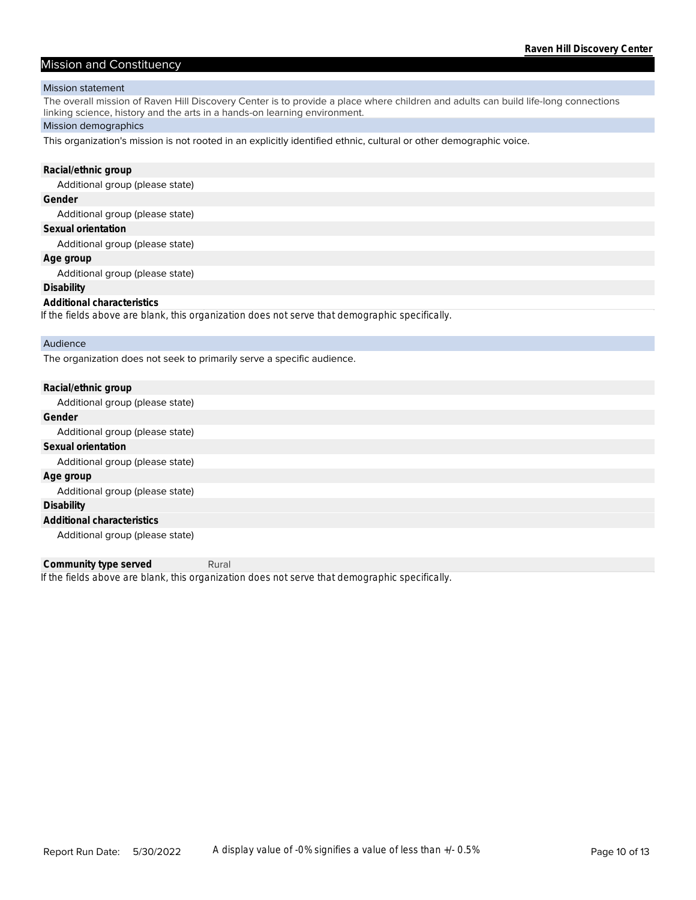#### Mission and Constituency

#### Mission statement

The overall mission of Raven Hill Discovery Center is to provide a place where children and adults can build life-long connections linking science, history and the arts in a hands-on learning environment.

#### Mission demographics

This organization's mission is not rooted in an explicitly identified ethnic, cultural or other demographic voice.

#### **Racial/ethnic group**

Additional group (please state)

#### **Gender**

Additional group (please state)

#### **Sexual orientation**

Additional group (please state)

#### **Age group**

Additional group (please state)

#### **Disability**

#### **Additional characteristics**

*If the fields above are blank, this organization does not serve that demographic specifically.*

#### Audience

The organization does not seek to primarily serve a specific audience.

| Racial/ethnic group             |
|---------------------------------|
| Additional group (please state) |
| Gender                          |
| Additional group (please state) |
| Sexual orientation              |
| Additional group (please state) |
| Age group                       |
| Additional group (please state) |
| Disability                      |
| Additional characteristics      |
| Additional group (please state) |

*If the fields above are blank, this organization does not serve that demographic specifically.* **Community type served** Rural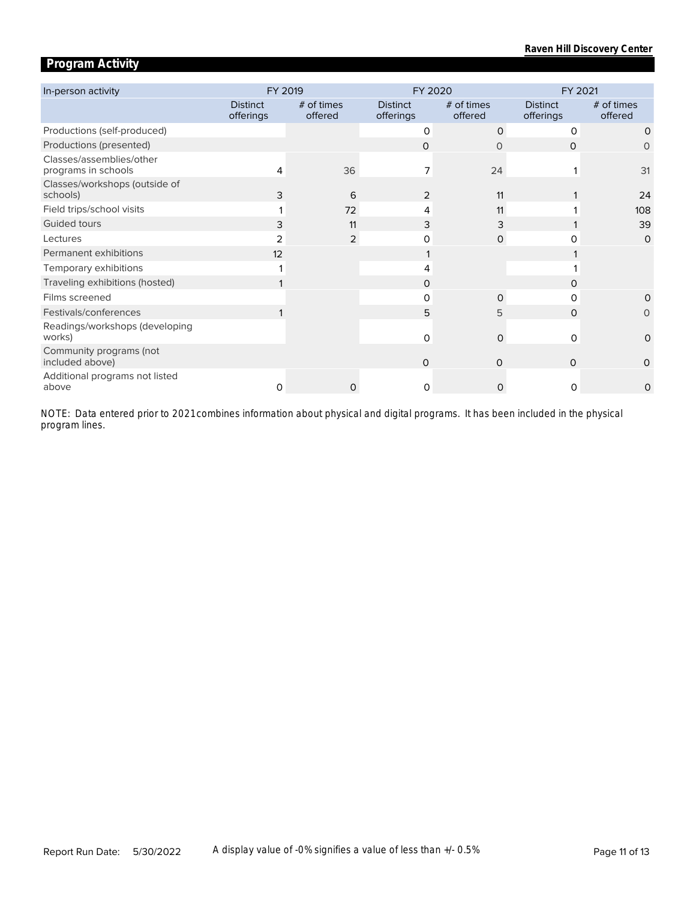### **Program Activity**

| In-person activity                              | FY 2019                      |                         | FY 2020                      |                         | FY 2021                      |                         |  |
|-------------------------------------------------|------------------------------|-------------------------|------------------------------|-------------------------|------------------------------|-------------------------|--|
|                                                 | <b>Distinct</b><br>offerings | $#$ of times<br>offered | <b>Distinct</b><br>offerings | $#$ of times<br>offered | <b>Distinct</b><br>offerings | $#$ of times<br>offered |  |
| Productions (self-produced)                     |                              |                         | 0                            | $\Omega$                | 0                            | $\Omega$                |  |
| Productions (presented)                         |                              |                         | $\Omega$                     | $\Omega$                | 0                            | O                       |  |
| Classes/assemblies/other<br>programs in schools | 4                            | 36                      | 7                            | 24                      |                              | 31                      |  |
| Classes/workshops (outside of<br>schools)       | 3                            | 6                       | $\overline{2}$               | 11                      |                              | 24                      |  |
| Field trips/school visits                       |                              | 72                      | 4                            | 11                      |                              | 108                     |  |
| Guided tours                                    | 3                            | 11                      | 3                            | 3                       |                              | 39                      |  |
| Lectures                                        | 2                            | 2                       | O                            | 0                       |                              | $\circ$                 |  |
| Permanent exhibitions                           | 12                           |                         |                              |                         |                              |                         |  |
| Temporary exhibitions                           |                              |                         |                              |                         |                              |                         |  |
| Traveling exhibitions (hosted)                  |                              |                         | 0                            |                         | O                            |                         |  |
| Films screened                                  |                              |                         | O                            | $\Omega$                | O                            | $\Omega$                |  |
| Festivals/conferences                           |                              |                         | 5                            | 5                       | $\Omega$                     | 0                       |  |
| Readings/workshops (developing<br>works)        |                              |                         | $\Omega$                     | $\Omega$                | $\Omega$                     | $\Omega$                |  |
| Community programs (not<br>included above)      |                              |                         | $\Omega$                     | $\Omega$                | 0                            | 0                       |  |
| Additional programs not listed<br>above         | 0                            |                         | $\Omega$                     | $\Omega$                | $\Omega$                     | $\Omega$                |  |

*program lines. NOTE: Data entered prior to 2021 combines information about physical and digital programs. It has been included in the physical*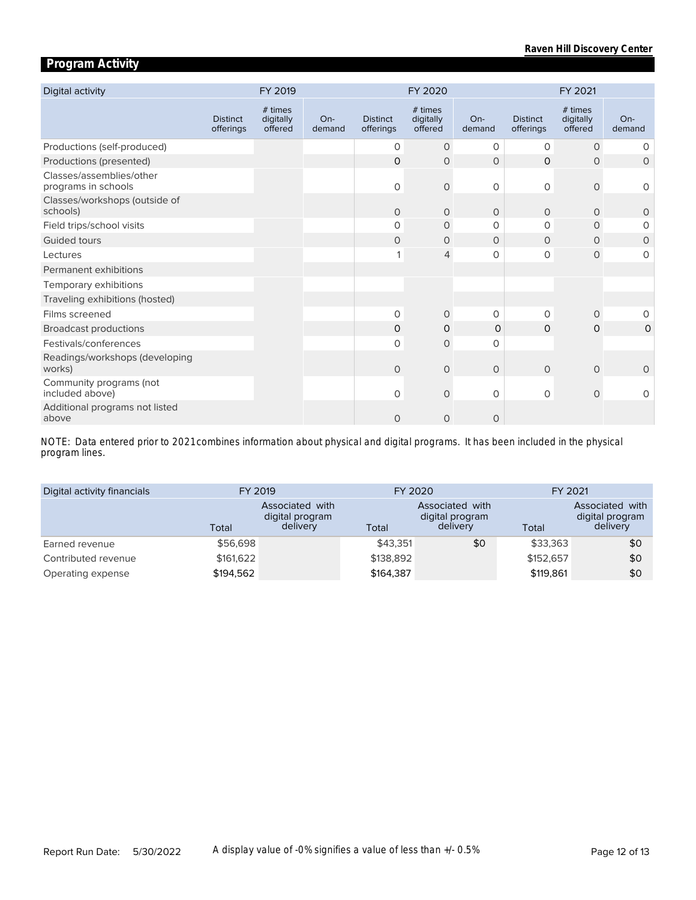### **Program Activity**

| Digital activity                                |                              | FY 2019                         |                 | FY 2020                      |                                 |                 | FY 2021                      |                                 |               |
|-------------------------------------------------|------------------------------|---------------------------------|-----------------|------------------------------|---------------------------------|-----------------|------------------------------|---------------------------------|---------------|
|                                                 | <b>Distinct</b><br>offerings | # times<br>digitally<br>offered | $On-$<br>demand | <b>Distinct</b><br>offerings | # times<br>digitally<br>offered | $On-$<br>demand | <b>Distinct</b><br>offerings | # times<br>digitally<br>offered | On-<br>demand |
| Productions (self-produced)                     |                              |                                 |                 | 0                            | $\circ$                         | 0               | 0                            | $\circ$                         | 0             |
| Productions (presented)                         |                              |                                 |                 | $\Omega$                     | $\Omega$                        | $\Omega$        | $\Omega$                     | $\Omega$                        | $\Omega$      |
| Classes/assemblies/other<br>programs in schools |                              |                                 |                 | $\mathsf{O}$                 | $\mathsf{O}\xspace$             | $\circ$         | 0                            | $\mathbf{O}$                    | 0             |
| Classes/workshops (outside of<br>schools)       |                              |                                 |                 | $\Omega$                     | $\Omega$                        | $\Omega$        | $\Omega$                     | $\Omega$                        | $\circ$       |
| Field trips/school visits                       |                              |                                 |                 | 0                            | 0                               | $\Omega$        | 0                            | $\Omega$                        | $\Omega$      |
| Guided tours                                    |                              |                                 |                 | 0                            | 0                               | $\circ$         | $\Omega$                     | $\circ$                         | $\circ$       |
| Lectures                                        |                              |                                 |                 | 1                            | $\overline{4}$                  | 0               | 0                            | $\mathbf{O}$                    | 0             |
| Permanent exhibitions                           |                              |                                 |                 |                              |                                 |                 |                              |                                 |               |
| Temporary exhibitions                           |                              |                                 |                 |                              |                                 |                 |                              |                                 |               |
| Traveling exhibitions (hosted)                  |                              |                                 |                 |                              |                                 |                 |                              |                                 |               |
| Films screened                                  |                              |                                 |                 | 0                            | $\circ$                         | $\circ$         | 0                            | $\Omega$                        | 0             |
| <b>Broadcast productions</b>                    |                              |                                 |                 | 0                            | 0                               | $\Omega$        | O                            | 0                               | 0             |
| Festivals/conferences                           |                              |                                 |                 | $\Omega$                     | $\mathbf 0$                     | $\Omega$        |                              |                                 |               |
| Readings/workshops (developing<br>works)        |                              |                                 |                 | $\Omega$                     | $\mathbf 0$                     | $\circ$         | $\Omega$                     | $\circ$                         | $\circ$       |
| Community programs (not<br>included above)      |                              |                                 |                 | 0                            | $\mathbf 0$                     | $\Omega$        | 0                            | $\circ$                         | $\circ$       |
| Additional programs not listed<br>above         |                              |                                 |                 | $\circ$                      | $\circ$                         | $\circ$         |                              |                                 |               |

*program lines. NOTE: Data entered prior to 2021 combines information about physical and digital programs. It has been included in the physical* 

| Digital activity financials | FY 2019   |                                                | FY 2020   |                                                | FY 2021   |                                                |  |
|-----------------------------|-----------|------------------------------------------------|-----------|------------------------------------------------|-----------|------------------------------------------------|--|
|                             | Total     | Associated with<br>digital program<br>delivery | Total     | Associated with<br>digital program<br>delivery | Total     | Associated with<br>digital program<br>delivery |  |
| Earned revenue              | \$56,698  |                                                | \$43.351  | \$0                                            | \$33,363  | \$0                                            |  |
| Contributed revenue         | \$161,622 |                                                | \$138,892 |                                                | \$152,657 | \$0                                            |  |
| Operating expense           | \$194,562 |                                                | \$164,387 |                                                | \$119,861 | \$0                                            |  |